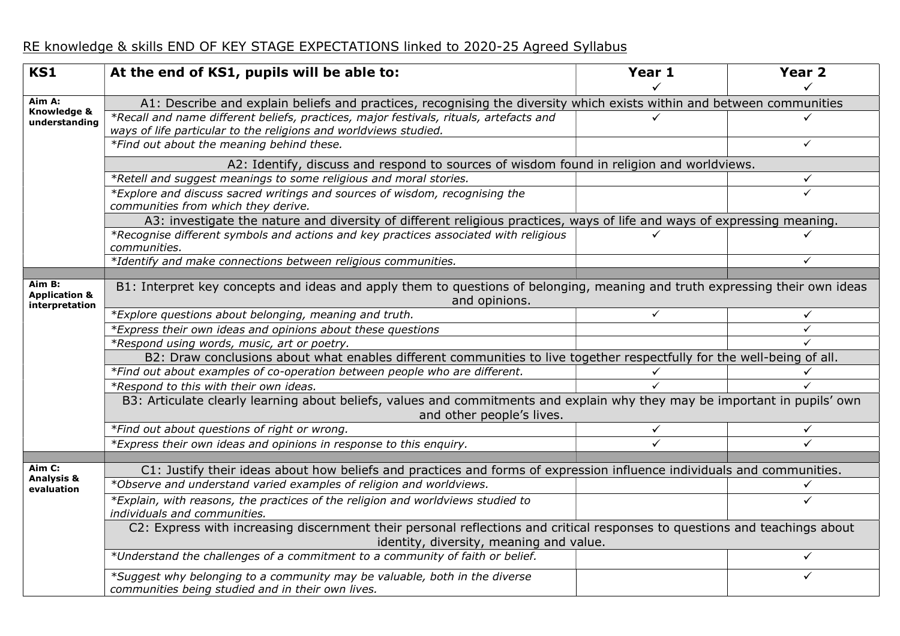## RE knowledge & skills END OF KEY STAGE EXPECTATIONS linked to 2020-25 Agreed Syllabus

| <b>KS1</b>                      | At the end of KS1, pupils will be able to:                                                                                                                            | Year 1 | Year <sub>2</sub> |  |  |  |  |
|---------------------------------|-----------------------------------------------------------------------------------------------------------------------------------------------------------------------|--------|-------------------|--|--|--|--|
|                                 |                                                                                                                                                                       |        |                   |  |  |  |  |
| Aim A:                          | A1: Describe and explain beliefs and practices, recognising the diversity which exists within and between communities                                                 |        |                   |  |  |  |  |
| Knowledge &<br>understanding    | *Recall and name different beliefs, practices, major festivals, rituals, artefacts and                                                                                |        |                   |  |  |  |  |
|                                 | ways of life particular to the religions and worldviews studied.                                                                                                      |        |                   |  |  |  |  |
|                                 | *Find out about the meaning behind these.                                                                                                                             |        | $\checkmark$      |  |  |  |  |
|                                 | A2: Identify, discuss and respond to sources of wisdom found in religion and worldviews.                                                                              |        |                   |  |  |  |  |
|                                 | *Retell and suggest meanings to some religious and moral stories.                                                                                                     |        | $\checkmark$      |  |  |  |  |
|                                 | *Explore and discuss sacred writings and sources of wisdom, recognising the<br>communities from which they derive.                                                    |        | $\checkmark$      |  |  |  |  |
|                                 | A3: investigate the nature and diversity of different religious practices, ways of life and ways of expressing meaning.                                               |        |                   |  |  |  |  |
|                                 | *Recognise different symbols and actions and key practices associated with religious<br>communities.                                                                  |        |                   |  |  |  |  |
|                                 | *Identify and make connections between religious communities.                                                                                                         |        | $\checkmark$      |  |  |  |  |
|                                 |                                                                                                                                                                       |        |                   |  |  |  |  |
| <b>Application &amp;</b>        | Aim B:<br>B1: Interpret key concepts and ideas and apply them to questions of belonging, meaning and truth expressing their own ideas                                 |        |                   |  |  |  |  |
| interpretation                  | and opinions.<br>*Explore questions about belonging, meaning and truth.                                                                                               | ✓      |                   |  |  |  |  |
|                                 | *Express their own ideas and opinions about these questions                                                                                                           |        | ✓<br>$\checkmark$ |  |  |  |  |
|                                 | *Respond using words, music, art or poetry.                                                                                                                           |        |                   |  |  |  |  |
|                                 | B2: Draw conclusions about what enables different communities to live together respectfully for the well-being of all.                                                |        |                   |  |  |  |  |
|                                 | *Find out about examples of co-operation between people who are different.                                                                                            |        |                   |  |  |  |  |
|                                 | *Respond to this with their own ideas.                                                                                                                                |        |                   |  |  |  |  |
|                                 | B3: Articulate clearly learning about beliefs, values and commitments and explain why they may be important in pupils' own                                            |        |                   |  |  |  |  |
|                                 | and other people's lives.                                                                                                                                             |        |                   |  |  |  |  |
|                                 | *Find out about questions of right or wrong.                                                                                                                          | ✓      | ✓                 |  |  |  |  |
|                                 | *Express their own ideas and opinions in response to this enquiry.                                                                                                    |        |                   |  |  |  |  |
|                                 |                                                                                                                                                                       |        |                   |  |  |  |  |
| Aim C:<br><b>Analysis &amp;</b> | C1: Justify their ideas about how beliefs and practices and forms of expression influence individuals and communities.                                                |        |                   |  |  |  |  |
| evaluation                      | *Observe and understand varied examples of religion and worldviews.                                                                                                   |        | ✓                 |  |  |  |  |
|                                 | *Explain, with reasons, the practices of the religion and worldviews studied to<br>individuals and communities.                                                       |        | ✓                 |  |  |  |  |
|                                 | C2: Express with increasing discernment their personal reflections and critical responses to questions and teachings about<br>identity, diversity, meaning and value. |        |                   |  |  |  |  |
|                                 | *Understand the challenges of a commitment to a community of faith or belief.                                                                                         |        | $\checkmark$      |  |  |  |  |
|                                 | *Suggest why belonging to a community may be valuable, both in the diverse<br>communities being studied and in their own lives.                                       |        | ✓                 |  |  |  |  |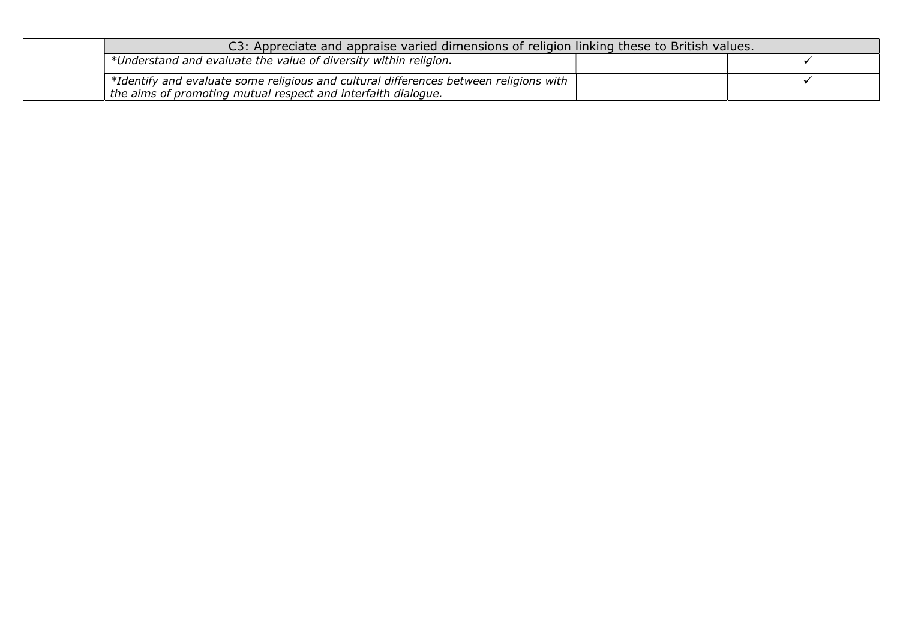| C3: Appreciate and appraise varied dimensions of religion linking these to British values.                                                             |  |  |  |
|--------------------------------------------------------------------------------------------------------------------------------------------------------|--|--|--|
| $+$ *Understand and evaluate the value of diversity within religion.                                                                                   |  |  |  |
| *Identify and evaluate some religious and cultural differences between religions with<br>the aims of promoting mutual respect and interfaith dialogue. |  |  |  |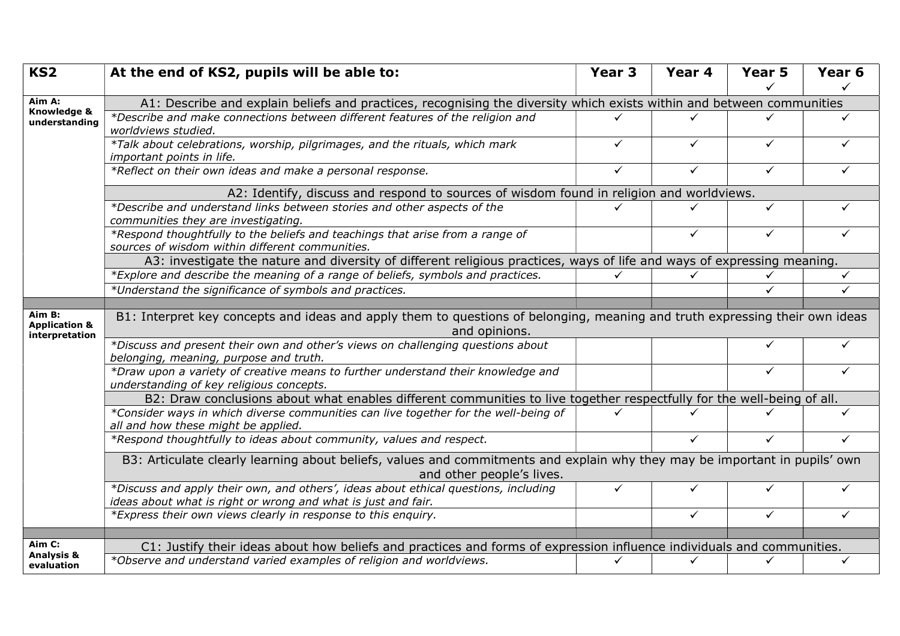| KS <sub>2</sub>                 | At the end of KS2, pupils will be able to:                                                                                                              | Year <sub>3</sub> | Year 4       | Year 5       | Year <sub>6</sub> |  |
|---------------------------------|---------------------------------------------------------------------------------------------------------------------------------------------------------|-------------------|--------------|--------------|-------------------|--|
| Aim A:                          | A1: Describe and explain beliefs and practices, recognising the diversity which exists within and between communities                                   |                   |              |              |                   |  |
| Knowledge &<br>understanding    | *Describe and make connections between different features of the religion and                                                                           | ✓                 |              |              |                   |  |
|                                 | worldviews studied.                                                                                                                                     |                   |              |              |                   |  |
|                                 | *Talk about celebrations, worship, pilgrimages, and the rituals, which mark<br>important points in life.                                                | ✓                 | ✓            | ✓            |                   |  |
|                                 | *Reflect on their own ideas and make a personal response.                                                                                               | $\checkmark$      | ✓            | ✓            | ✓                 |  |
|                                 | A2: Identify, discuss and respond to sources of wisdom found in religion and worldviews.                                                                |                   |              |              |                   |  |
|                                 | *Describe and understand links between stories and other aspects of the<br>communities they are investigating.                                          |                   |              | $\checkmark$ |                   |  |
|                                 | *Respond thoughtfully to the beliefs and teachings that arise from a range of<br>sources of wisdom within different communities.                        |                   | $\checkmark$ | $\checkmark$ | $\checkmark$      |  |
|                                 | A3: investigate the nature and diversity of different religious practices, ways of life and ways of expressing meaning.                                 |                   |              |              |                   |  |
|                                 | *Explore and describe the meaning of a range of beliefs, symbols and practices.                                                                         |                   |              |              | ✓                 |  |
|                                 | *Understand the significance of symbols and practices.                                                                                                  |                   |              | ✓            | $\checkmark$      |  |
| Aim B:                          |                                                                                                                                                         |                   |              |              |                   |  |
| <b>Application &amp;</b>        | B1: Interpret key concepts and ideas and apply them to questions of belonging, meaning and truth expressing their own ideas<br>and opinions.            |                   |              |              |                   |  |
| interpretation                  | *Discuss and present their own and other's views on challenging questions about                                                                         |                   |              |              |                   |  |
|                                 | belonging, meaning, purpose and truth.                                                                                                                  |                   |              |              |                   |  |
|                                 | *Draw upon a variety of creative means to further understand their knowledge and<br>understanding of key religious concepts.                            |                   |              | ✓            | $\checkmark$      |  |
|                                 | B2: Draw conclusions about what enables different communities to live together respectfully for the well-being of all.                                  |                   |              |              |                   |  |
|                                 | *Consider ways in which diverse communities can live together for the well-being of<br>all and how these might be applied.                              |                   |              |              |                   |  |
|                                 | *Respond thoughtfully to ideas about community, values and respect.                                                                                     |                   | $\checkmark$ | ✓            | $\checkmark$      |  |
|                                 | B3: Articulate clearly learning about beliefs, values and commitments and explain why they may be important in pupils' own<br>and other people's lives. |                   |              |              |                   |  |
|                                 | *Discuss and apply their own, and others', ideas about ethical questions, including<br>ideas about what is right or wrong and what is just and fair.    | ✓                 | ✓            | ✓            | ✓                 |  |
|                                 | *Express their own views clearly in response to this enquiry.                                                                                           |                   | $\checkmark$ | $\checkmark$ | $\checkmark$      |  |
|                                 |                                                                                                                                                         |                   |              |              |                   |  |
| Aim C:<br><b>Analysis &amp;</b> | C1: Justify their ideas about how beliefs and practices and forms of expression influence individuals and communities.                                  |                   |              |              |                   |  |
| evaluation                      | *Observe and understand varied examples of religion and worldviews.                                                                                     |                   |              | ✓            | ✓                 |  |